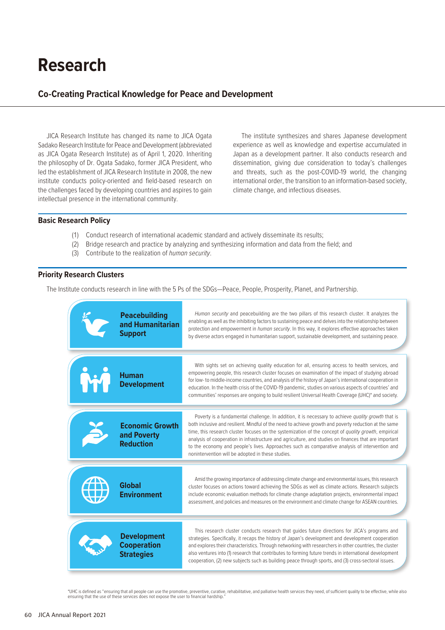# **Research**

## **Co-Creating Practical Knowledge for Peace and Development**

JICA Research Institute has changed its name to JICA Ogata Sadako Research Institute for Peace and Development (abbreviated as JICA Ogata Research Institute) as of April 1, 2020. Inheriting the philosophy of Dr. Ogata Sadako, former JICA President, who led the establishment of JICA Research Institute in 2008, the new institute conducts policy-oriented and field-based research on the challenges faced by developing countries and aspires to gain intellectual presence in the international community.

The institute synthesizes and shares Japanese development experience as well as knowledge and expertise accumulated in Japan as a development partner. It also conducts research and dissemination, giving due consideration to today's challenges and threats, such as the post-COVID-19 world, the changing international order, the transition to an information-based society, climate change, and infectious diseases.

#### **Basic Research Policy**

- (1) Conduct research of international academic standard and actively disseminate its results;
- (2) Bridge research and practice by analyzing and synthesizing information and data from the field; and
- (3) Contribute to the realization of *human security*.

## **Priority Research Clusters**

The Institute conducts research in line with the 5 Ps of the SDGs—Peace, People, Prosperity, Planet, and Partnership.

| <b>Peacebuilding</b><br>and Humanitarian<br><b>Support</b>    | Human security and peacebuilding are the two pillars of this research cluster. It analyzes the<br>enabling as well as the inhibiting factors to sustaining peace and delves into the relationship between<br>protection and empowerment in <i>human security</i> . In this way, it explores effective approaches taken<br>by diverse actors engaged in humanitarian support, sustainable development, and sustaining peace.                                                                                                                                                         |
|---------------------------------------------------------------|-------------------------------------------------------------------------------------------------------------------------------------------------------------------------------------------------------------------------------------------------------------------------------------------------------------------------------------------------------------------------------------------------------------------------------------------------------------------------------------------------------------------------------------------------------------------------------------|
| <b>Human</b><br><b>Development</b>                            | With sights set on achieving quality education for all, ensuring access to health services, and<br>empowering people, this research cluster focuses on examination of the impact of studying abroad<br>for low- to middle-income countries, and analysis of the history of Japan's international cooperation in<br>education. In the health crisis of the COVID-19 pandemic, studies on various aspects of countries' and<br>communities' responses are ongoing to build resilient Universal Health Coverage (UHC)* and society.                                                    |
| <b>Economic Growth</b><br>and Poverty<br><b>Reduction</b>     | Poverty is a fundamental challenge. In addition, it is necessary to achieve quality growth that is<br>both inclusive and resilient. Mindful of the need to achieve growth and poverty reduction at the same<br>time, this research cluster focuses on the systemization of the concept of quality growth, empirical<br>analysis of cooperation in infrastructure and agriculture, and studies on finances that are important<br>to the economy and people's lives. Approaches such as comparative analysis of intervention and<br>nonintervention will be adopted in these studies. |
| <b>Global</b><br><b>Environment</b>                           | Amid the growing importance of addressing climate change and environmental issues, this research<br>cluster focuses on actions toward achieving the SDGs as well as climate actions. Research subjects<br>include economic evaluation methods for climate change adaptation projects, environmental impact<br>assessment, and policies and measures on the environment and climate change for ASEAN countries.                                                                                                                                                                      |
| <b>Development</b><br><b>Cooperation</b><br><b>Strategies</b> | This research cluster conducts research that quides future directions for JICA's programs and<br>strategies. Specifically, it recaps the history of Japan's development and development cooperation<br>and explores their characteristics. Through networking with researchers in other countries, the cluster<br>also ventures into (1) research that contributes to forming future trends in international development<br>cooperation, (2) new subjects such as building peace through sports, and (3) cross-sectoral issues.                                                     |

\*UHC is defined as "ensuring that all people can use the promotive, preventive, curative, rehabilitative, and palliative health services they need, of sufficient quality to be effective, while also<br>ensuring that the use of